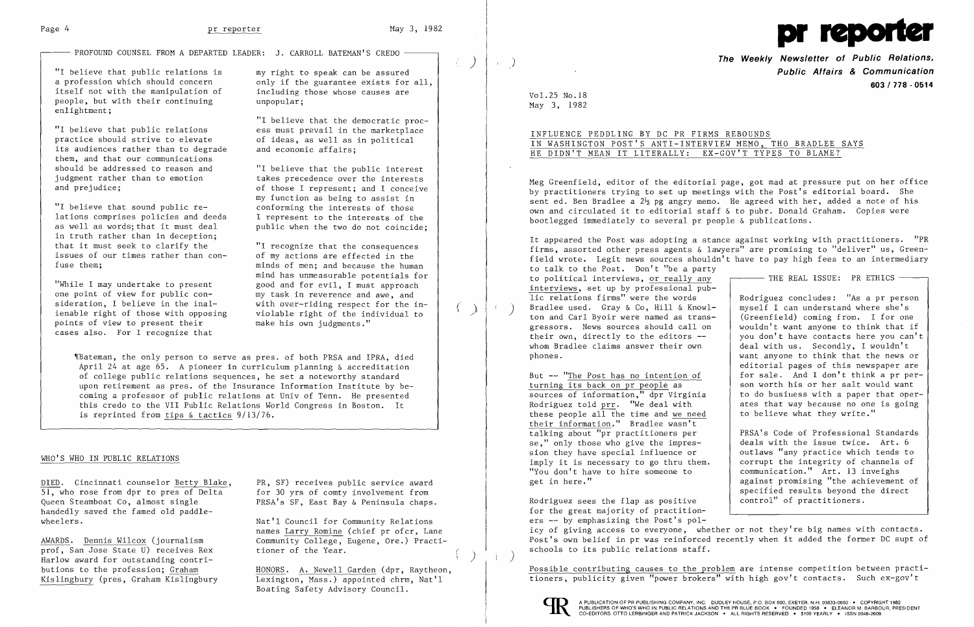$\overline{\phantom{a}}$ 

 $\langle \cdot \rangle$ 

# $-$  PROFOUND COUNSEL FROM A DEPARTED LEADER: J. CARROLL BATEMAN'S CREDO  $-$



"I believe that public relations is an unity right to speak can be assured<br>a profession which should concern and only if the guarantee exists for itself not with the manipulation of people, but with their continuing enlightment;

"I believe that the democratic proc "I believe that public relations ess must prevail in the marketplace and economic affairs;

practice should strive to elevate of ideas, as well as in political its audiences rather than to degrade them, and that our communications should be addressed to reason and "I believe that the public interest judgment rather than to emotion<br>and prejudice;<br>of those I represent: and I conceive

"I believe that sound public re-<br>lations comprises policies and deeds [1] represent to the interests of the lations comprises policies and deeds<br>as well as words: that it must deal in truth rather than in deception;<br>that it must seek to clarify the that it must seek to clarify the "I recognize that the consequences issues of our times rather than con- of my actions are effected in the

of those I represent; and I conceive my function as being to assist in conforming the interests of those as well as words; that it must deal public when the two do not coincide;

"While I may undertake to present<br>one point of view for public conone point of view for public con-<br>my task in reverence and awe, and sideration, I believe in the inal-<br>ienable right of those with opposing violable right of the individual to points of view to present their make his own judgments." cases also. For I recognize that

only if the guarantee exists for all, including those whose causes are unpopular;

DIED. Cincinnati counselor Betty Blake, PR, SF) receives public service award 51, who rose from dpr to pres of Delta for 30 yrs of comty involvement from<br>Queen Steamboat Co, almost single PRSA's SF, East Bay & Peninsula chaps handedly saved the famed old paddlewheelers.  $\blacksquare$  Nat'l Council for Community Relations

prof, San Jose State U) receives Rex. Harlow award for outstanding contri-<br>butions to the profession: Graham PRSA's SF, East Bay & Peninsula chaps.

names Larry Romine (chief pr ofcr, Lane AWARDS. Dennis Wilcox (journalism<br>prof, San Jose State U) receives Rex<br>tioner of the Year.

fuse them; minds of men; and because the human mind has unmeasurable potentials for good and for evil. I must approach ( ) ienable right of those with opposing violable right of the individual to

HONORS. A. Newell Garden (dpr, Raytheon, Kislingbury (pres, Graham Kislingbury Lexington, Mass.) appointed chrm, Nat'l Boating Safety Advisory Council.

~[Bateman, the only person to serve as pres. of both PRSA and IPRA, died April 24 at age 65. A pioneer in curriculum planning & accreditation of college public relations sequences, he set a noteworthy standard upon retirement as pres. of the Insurance Information Institute by becoming a professor of public relations at Univ of Tenn. He presented this credo to the VII Public Relations World Congress in Boston. It is reprinted from tips & tactics 9/13/76.

### WHO'S WHO IN PUBLIC RELATIONS

PRSA's Code of Professional Standards<br>deals with the issue twice. Art. 6 corrupt the integrity of channels of<br>communication." Art. 13 inveighs against promising "the achievement of specified results beyond the direct

**The Weekly Newsletter of Public Relations,** ) **Public Affairs & Communication 603 I 778 ·0514** 

Vol. 25 No. 18 May 3, 1982

## INFLUENCE PEDDLING BY DC PR FIRMS REBOUNDS IN WASHINGTON POST'S ANTI-INTERVIEW MEMO, THO BRADLEE SAYS HE DIDN'T MEAN IT LITERALLY: EX-GOV'T TYPES TO BLAME?

Meg Greenfield, editor of the editorial page, got mad at pressure put on her office by practitioners trying to set up meetings with the Post's editorial board. She sent ed. Ben Bradlee a  $2\frac{1}{2}$  pg angry memo. He agreed with her, added a note of his own and circulated it to editorial staff & to pubr. Donald Graham. Copies were bootlegged immediately to several pr people & publications.

It appeared the Post was adopting a stance against working with practitioners. "PR firms, assorted other press agents & lawyers" are promising to "deliver" us, Greenfield wrote. Legit news sources shouldn't have to pay high fees to an intermediary to talk to the Post. Don't "be a party<br>to political interviews, <u>or really any</u> **Fig. 1998** THE REAL ISSUE: PR ETHICS — interviews, set up by professional public relations firms" were the words Rodriguez concludes: "As a pr person Bradlee used. Gray & Co, Hill & Knowl-<br>
ton and Carl Byoir were named as trans-<br>
(Greenfield) coming from. I for one gressors. News sources should call on  $\begin{bmatrix} \text{wouldn'} & \text{want anyone to think that if} \\ \text{their own, directly to the editors } \text{--} \end{bmatrix}$  you don't have contacts here you can't you don't have contacts here you can't whom Bradlee claims answer their own  $\parallel$  deal with us. Secondly, I wouldn't phones. want anyone to think that the news or editorial pages of this newspaper are But  $-$  "The Post has no intention of for sale. And I don't think a pr per-<br>turning its back on pr people as son worth his or her salt would want son worth his or her salt would want<br>to do business with a paper that opersources of information," dpr Virginia to do busiuess with a paper that oper-<br>Rodriguez told prr. "We deal with ates that way because no one is going Rodriguez told  $\frac{pr}{r}$ . "We deal with ates that way because no one these people all the time and we need to believe what they write." these people all the time and we need their information." Bradlee wasn't talking about "pr practitioners per

se," only those who give the impres-<br>sion they have special influence or  $\begin{array}{|l|} \hline \end{array}$  outlaws "any practice which tends to sion they have special influence or<br>imply it is necessary to go thru them. "You don't have to hire someone to get in here."

Rodriguez sees the flap as positive  $\vert$  control" of practitioners. for the great majority of practitioners -- by emphasizing the Post's policy of giving access to everyone, whether or not they're big names with contacts. Post's own belief in pr was reinforced recently when it added the former DC supt of schools to its public relations staff.

Possible contributing causes to the problem are intense competition between practitioners, publicity given "power brokers" with high gov't contacts. Such ex-gov't